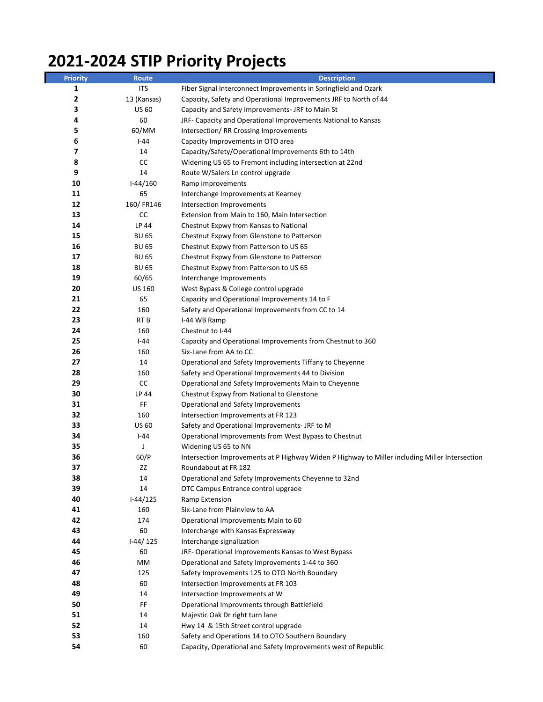## **2021-2024 STIP Priority Projects**

| <b>Priority</b> | <b>Route</b>    | <b>Description</b>                                                                             |
|-----------------|-----------------|------------------------------------------------------------------------------------------------|
| 1               | <b>ITS</b>      | Fiber Signal Interconnect Improvements in Springfield and Ozark                                |
| 2               | 13 (Kansas)     | Capacity, Safety and Operational Improvements JRF to North of 44                               |
| 3               | <b>US 60</b>    | Capacity and Safety Improvements- JRF to Main St                                               |
| 4               | 60              | JRF- Capacity and Operational Improvements National to Kansas                                  |
| 5               | 60/MM           | Intersection/RR Crossing Improvements                                                          |
| 6               | $I-44$          | Capacity Improvements in OTO area                                                              |
| 7               | 14              | Capacity/Safety/Operational Improvements 6th to 14th                                           |
| 8               | CC              | Widening US 65 to Fremont including intersection at 22nd                                       |
| 9               | 14              | Route W/Salers Ln control upgrade                                                              |
| 10              | $I-44/160$      | Ramp improvements                                                                              |
| 11              | 65              | Interchange Improvements at Kearney                                                            |
| 12              | 160/FR146       | Intersection Improvements                                                                      |
| 13              | CC              | Extension from Main to 160, Main Intersection                                                  |
| 14              | LP 44           | Chestnut Expwy from Kansas to National                                                         |
| 15              | <b>BU 65</b>    | Chestnut Expwy from Glenstone to Patterson                                                     |
| 16              | <b>BU 65</b>    | Chestnut Expwy from Patterson to US 65                                                         |
| 17              | <b>BU 65</b>    | Chestnut Expwy from Glenstone to Patterson                                                     |
| 18              | <b>BU 65</b>    | Chestnut Expwy from Patterson to US 65                                                         |
| 19              | 60/65           | Interchange Improvements                                                                       |
| 20              | <b>US 160</b>   | West Bypass & College control upgrade                                                          |
| 21              | 65              | Capacity and Operational Improvements 14 to F                                                  |
| 22              | 160             | Safety and Operational Improvements from CC to 14                                              |
| 23              | RT <sub>B</sub> | I-44 WB Ramp                                                                                   |
| 24              | 160             | Chestnut to I-44                                                                               |
| 25              | l-44            | Capacity and Operational Improvements from Chestnut to 360                                     |
| 26              | 160             | Six-Lane from AA to CC                                                                         |
| 27              | 14              | Operational and Safety Improvements Tiffany to Cheyenne                                        |
| 28              | 160             | Safety and Operational Improvements 44 to Division                                             |
| 29              | CC              | Operational and Safety Improvements Main to Cheyenne                                           |
| 30              | LP 44           | Chestnut Expwy from National to Glenstone                                                      |
| 31              | FF              | Operational and Safety Improvements                                                            |
| 32              | 160             | Intersection Improvements at FR 123                                                            |
| 33              | <b>US 60</b>    | Safety and Operational Improvements- JRF to M                                                  |
| 34              | $I-44$          | Operational Improvements from West Bypass to Chestnut                                          |
| 35              | J               | Widening US 65 to NN                                                                           |
| 36              | 60/P            | Intersection Improvements at P Highway Widen P Highway to Miller including Miller Intersection |
| 37              | ΖZ              | Roundabout at FR 182                                                                           |
| 38              | 14              | Operational and Safety Improvements Cheyenne to 32nd                                           |
| 39              | 14              | OTC Campus Entrance control upgrade                                                            |
| 40              | $I-44/125$      | Ramp Extension                                                                                 |
| 41              | 160             | Six-Lane from Plainview to AA                                                                  |
| 42              | 174             | Operational Improvements Main to 60                                                            |
| 43              | 60              | Interchange with Kansas Expressway                                                             |
| 44              | $1-44/125$      | Interchange signalization                                                                      |
| 45              | 60              | JRF- Operational Improvements Kansas to West Bypass                                            |
| 46              | MМ              | Operational and Safety Improvements 1-44 to 360                                                |
| 47              | 125             | Safety Improvements 125 to OTO North Boundary                                                  |
| 48              | 60              | Intersection Improvements at FR 103                                                            |
| 49              | 14              | Intersection Improvements at W                                                                 |
| 50              | FF              | Operational Improvments through Battlefield                                                    |
| 51              | 14              | Majestic Oak Dr right turn lane                                                                |
| 52              | 14              | Hwy 14 & 15th Street control upgrade                                                           |
| 53              | 160             | Safety and Operations 14 to OTO Southern Boundary                                              |
| 54              | 60              | Capacity, Operational and Safety Improvements west of Republic                                 |
|                 |                 |                                                                                                |